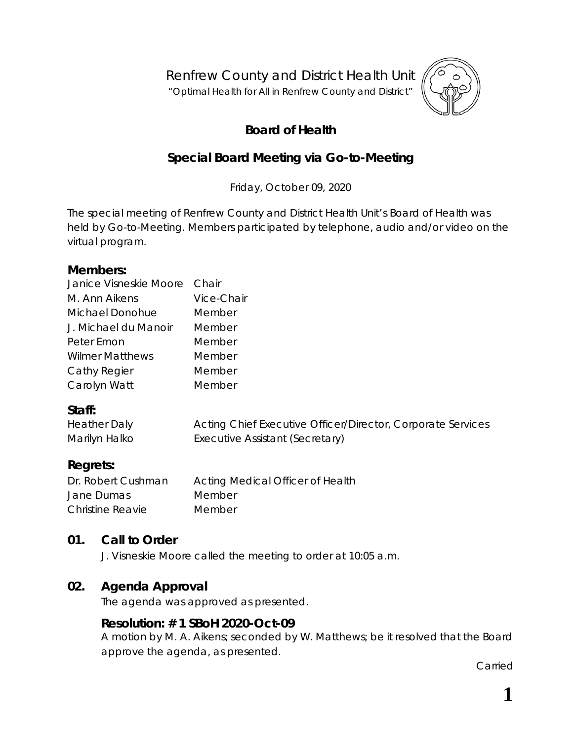Renfrew County and District Health Unit

"*Optimal Health for All in Renfrew County and District"*



## **Board of Health**

## **Special Board Meeting via Go-to-Meeting**

Friday, October 09, 2020

The special meeting of Renfrew County and District Health Unit's Board of Health was held by *Go-to-Meeting*. Members participated by telephone, audio and/or video on the virtual program.

#### **Members:**

| Janice Visneskie Moore Chair |            |
|------------------------------|------------|
| M. Ann Aikens                | Vice-Chair |
| Michael Donohue              | Member     |
| J. Michael du Manoir         | Member     |
| Peter Emon                   | Member     |
| <b>Wilmer Matthews</b>       | Member     |
| Cathy Regier                 | Member     |
| Carolyn Watt                 | Member     |
|                              |            |

#### **Staff:**

| <b>Heather Daly</b> | Acting Chief Executive Officer/Director, Corporate Services |
|---------------------|-------------------------------------------------------------|
| Marilyn Halko       | Executive Assistant (Secretary)                             |

## **Regrets:**

| Dr. Robert Cushman      | Acting Medical Officer of Health |
|-------------------------|----------------------------------|
| Jane Dumas              | Member                           |
| <b>Christine Reavie</b> | Member                           |

## **01. Call to Order**

J. Visneskie Moore called the meeting to order at 10:05 a.m.

## **02. Agenda Approval**

The agenda was approved as presented.

## **Resolution: # 1 SBoH 2020-Oct-09**

A motion by M. A. Aikens; seconded by W. Matthews; be it resolved that the Board approve the agenda, as presented.

Carried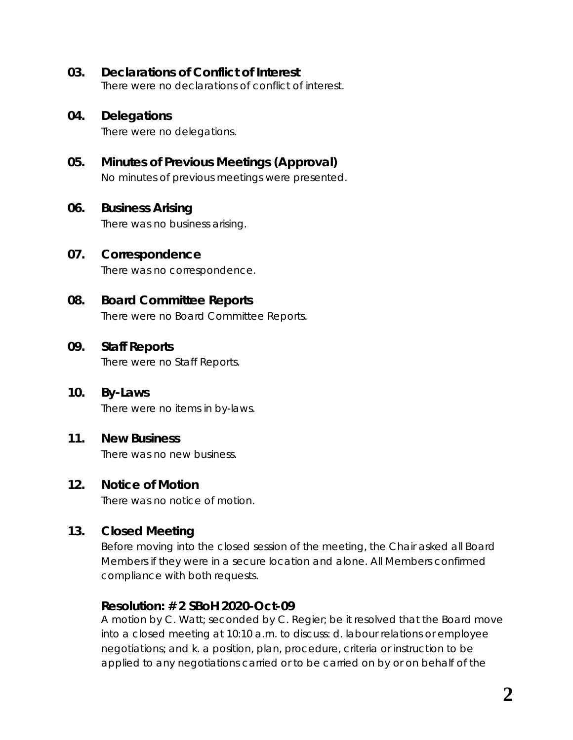#### **03. Declarations of Conflict of Interest**

There were no declarations of conflict of interest.

#### **04. Delegations**

There were no delegations.

## **05. Minutes of Previous Meetings (Approval)**

No minutes of previous meetings were presented.

#### **06. Business Arising**

There was no business arising.

#### **07. Correspondence**

There was no correspondence.

## **08. Board Committee Reports**

There were no Board Committee Reports.

#### **09. Staff Reports**

There were no Staff Reports.

# **10. By-Laws**

There were no items in by-laws.

#### **11. New Business**

There was no new business.

#### **12. Notice of Motion**

There was no notice of motion.

## **13. Closed Meeting**

Before moving into the closed session of the meeting, the Chair asked all Board Members if they were in a secure location and alone. All Members confirmed compliance with both requests.

#### **Resolution: # 2 SBoH 2020-Oct-09**

A motion by C. Watt; seconded by C. Regier; be it resolved that the Board move into a closed meeting at 10:10 a.m. to discuss: d. labour relations or employee negotiations; and k. a position, plan, procedure, criteria or instruction to be applied to any negotiations carried or to be carried on by or on behalf of the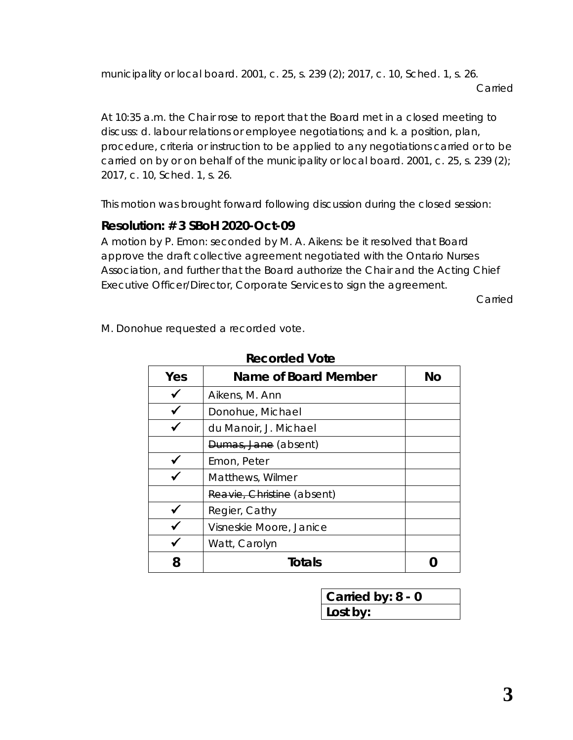municipality or local board. 2001, c. 25, s. 239 (2); 2017, c. 10, Sched. 1, s. 26. Carried

At 10:35 a.m. the Chair rose to report that the Board met in a closed meeting to discuss: d. labour relations or employee negotiations; and k. a position, plan, procedure, criteria or instruction to be applied to any negotiations carried or to be carried on by or on behalf of the municipality or local board. 2001, c. 25, s. 239 (2); 2017, c. 10, Sched. 1, s. 26.

This motion was brought forward following discussion during the closed session:

## **Resolution: # 3 SBoH 2020-Oct-09**

A motion by P. Emon: seconded by M. A. Aikens: be it resolved that Board approve the draft collective agreement negotiated with the Ontario Nurses Association, and further that the Board authorize the Chair and the Acting Chief Executive Officer/Director, Corporate Services to sign the agreement.

Carried

M. Donohue requested a recorded vote.

| Yes | Name of Board Member       | No |
|-----|----------------------------|----|
|     | Aikens, M. Ann             |    |
|     | Donohue, Michael           |    |
|     | du Manoir, J. Michael      |    |
|     | Dumas, Jane (absent)       |    |
|     | Emon, Peter                |    |
|     | Matthews, Wilmer           |    |
|     | Reavie, Christine (absent) |    |
|     | Regier, Cathy              |    |
|     | Visneskie Moore, Janice    |    |
|     | Watt, Carolyn              |    |
| 8   | Totals                     |    |

**Recorded Vote**

**Carried by: 8 - 0 Lost by:**